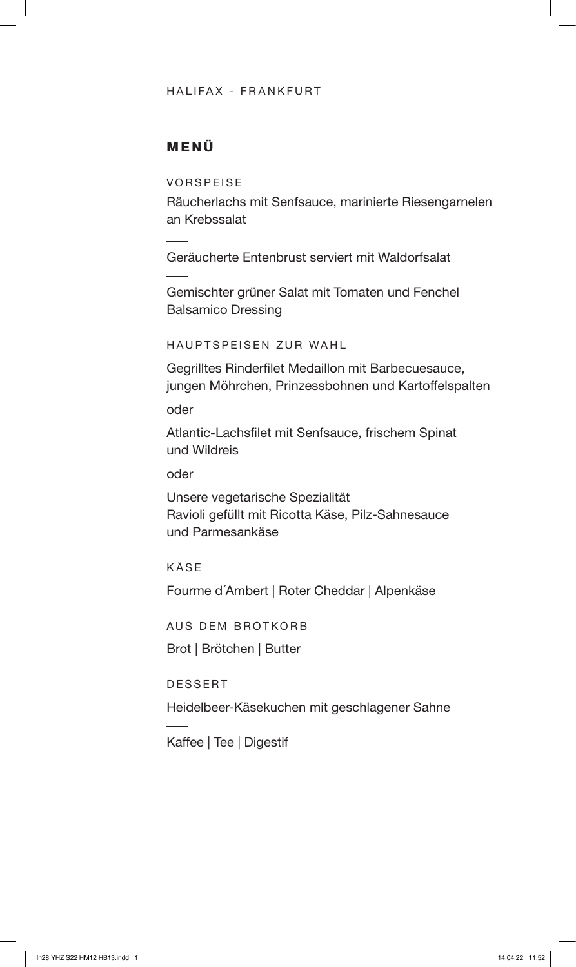## HALIFAX - FRANKFURT

## MENÜ

VORSPEISE

Räucherlachs mit Senfsauce, marinierte Riesengarnelen an Krebssalat

Geräucherte Entenbrust serviert mit Waldorfsalat

Gemischter grüner Salat mit Tomaten und Fenchel Balsamico Dressing

HAUPTSPEISEN ZUR WAHL

Gegrilltes Rinderfilet Medaillon mit Barbecuesauce, jungen Möhrchen, Prinzessbohnen und Kartoffelspalten

oder

Atlantic-Lachsfilet mit Senfsauce, frischem Spinat und Wildreis

oder

Unsere vegetarische Spezialität Ravioli gefüllt mit Ricotta Käse, Pilz-Sahnesauce und Parmesankäse

KÄSE

Fourme d´Ambert | Roter Cheddar | Alpenkäse

AUS DEM BROTKORB

Brot | Brötchen | Butter

DESSERT

Heidelbeer-Käsekuchen mit geschlagener Sahne

Kaffee | Tee | Digestif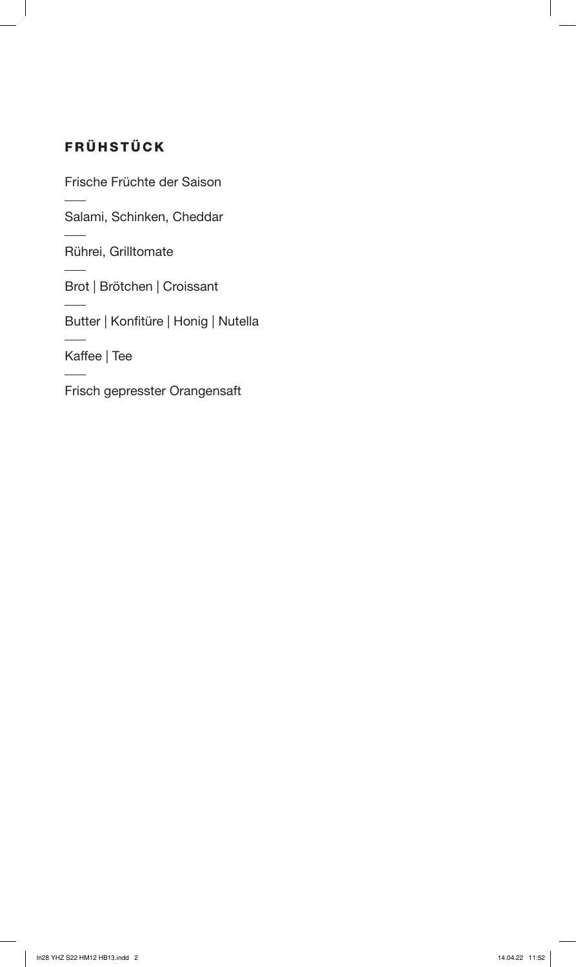# FRÜHSTÜCK

Frische Früchte der Saison

Salami, Schinken, Cheddar

Rührei, Grilltomate

Brot | Brötchen | Croissant

Butter | Konfitüre | Honig | Nutella

Kaffee | Tee

Frisch gepresster Orangensaft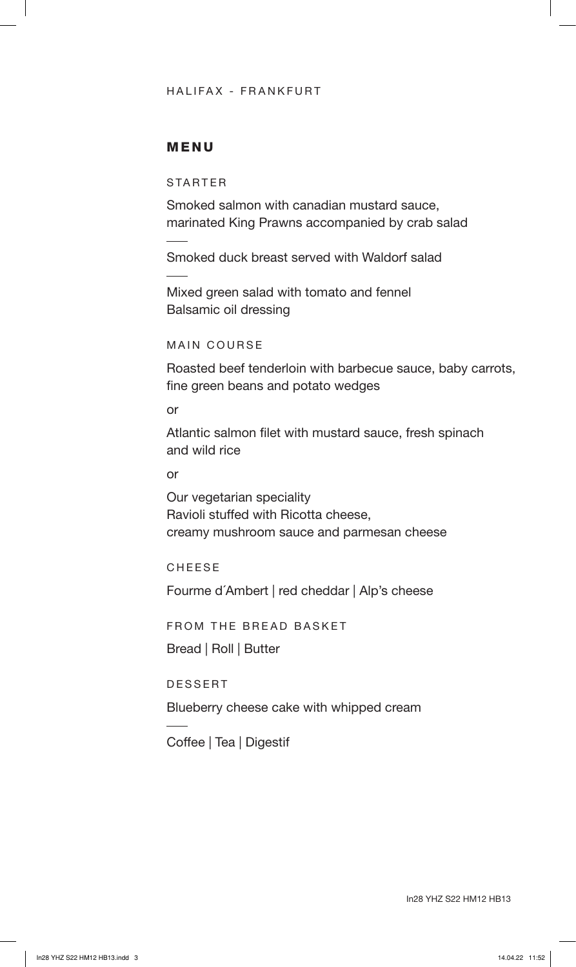## HALIFAX - FRANKFURT

## MENU

## STARTER

Smoked salmon with canadian mustard sauce, marinated King Prawns accompanied by crab salad

Smoked duck breast served with Waldorf salad

Mixed green salad with tomato and fennel Balsamic oil dressing

#### MAIN COURSE

Roasted beef tenderloin with barbecue sauce, baby carrots, fine green beans and potato wedges

## or

Atlantic salmon filet with mustard sauce, fresh spinach and wild rice

#### or

Our vegetarian speciality Ravioli stuffed with Ricotta cheese, creamy mushroom sauce and parmesan cheese

#### CHEESE

Fourme d´Ambert | red cheddar | Alp's cheese

FROM THE BREAD BASKET

Bread | Roll | Butter

#### DESSERT

Blueberry cheese cake with whipped cream

Coffee | Tea | Digestif

In28 YHZ S22 HM12 HB13